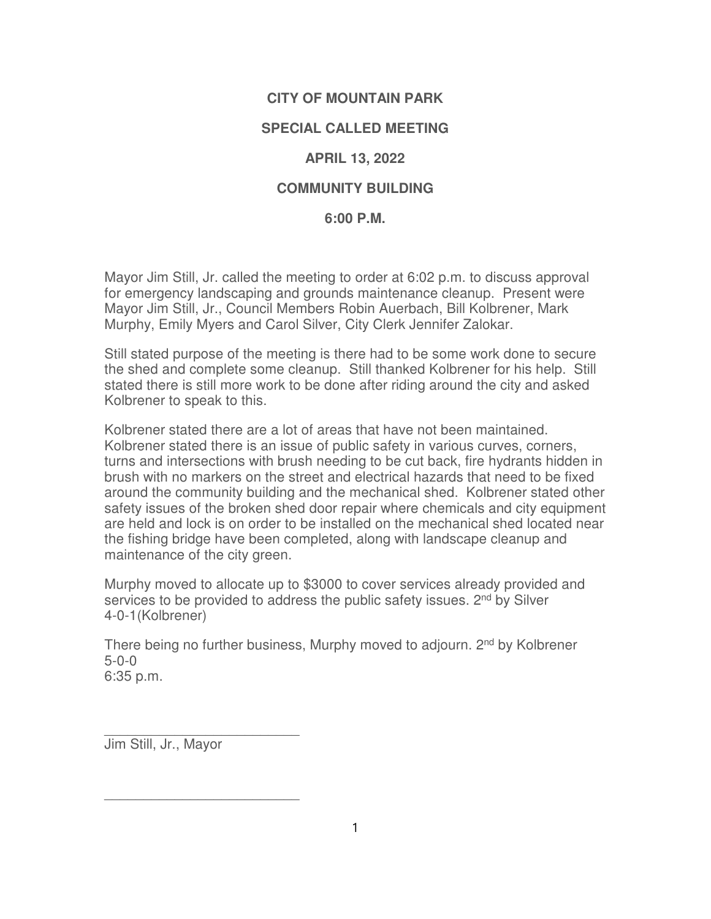# **CITY OF MOUNTAIN PARK**

## **SPECIAL CALLED MEETING**

## **APRIL 13, 2022**

## **COMMUNITY BUILDING**

### **6:00 P.M.**

Mayor Jim Still, Jr. called the meeting to order at 6:02 p.m. to discuss approval for emergency landscaping and grounds maintenance cleanup. Present were Mayor Jim Still, Jr., Council Members Robin Auerbach, Bill Kolbrener, Mark Murphy, Emily Myers and Carol Silver, City Clerk Jennifer Zalokar.

Still stated purpose of the meeting is there had to be some work done to secure the shed and complete some cleanup. Still thanked Kolbrener for his help. Still stated there is still more work to be done after riding around the city and asked Kolbrener to speak to this.

Kolbrener stated there are a lot of areas that have not been maintained. Kolbrener stated there is an issue of public safety in various curves, corners, turns and intersections with brush needing to be cut back, fire hydrants hidden in brush with no markers on the street and electrical hazards that need to be fixed around the community building and the mechanical shed. Kolbrener stated other safety issues of the broken shed door repair where chemicals and city equipment are held and lock is on order to be installed on the mechanical shed located near the fishing bridge have been completed, along with landscape cleanup and maintenance of the city green.

Murphy moved to allocate up to \$3000 to cover services already provided and services to be provided to address the public safety issues. 2<sup>nd</sup> by Silver 4-0-1(Kolbrener)

There being no further business, Murphy moved to adjourn. 2<sup>nd</sup> by Kolbrener 5-0-0 6:35 p.m.

\_\_\_\_\_\_\_\_\_\_\_\_\_\_\_\_\_\_\_\_\_\_\_\_\_ Jim Still, Jr., Mayor

 $\frac{1}{2}$  ,  $\frac{1}{2}$  ,  $\frac{1}{2}$  ,  $\frac{1}{2}$  ,  $\frac{1}{2}$  ,  $\frac{1}{2}$  ,  $\frac{1}{2}$  ,  $\frac{1}{2}$  ,  $\frac{1}{2}$  ,  $\frac{1}{2}$  ,  $\frac{1}{2}$  ,  $\frac{1}{2}$  ,  $\frac{1}{2}$  ,  $\frac{1}{2}$  ,  $\frac{1}{2}$  ,  $\frac{1}{2}$  ,  $\frac{1}{2}$  ,  $\frac{1}{2}$  ,  $\frac{1$